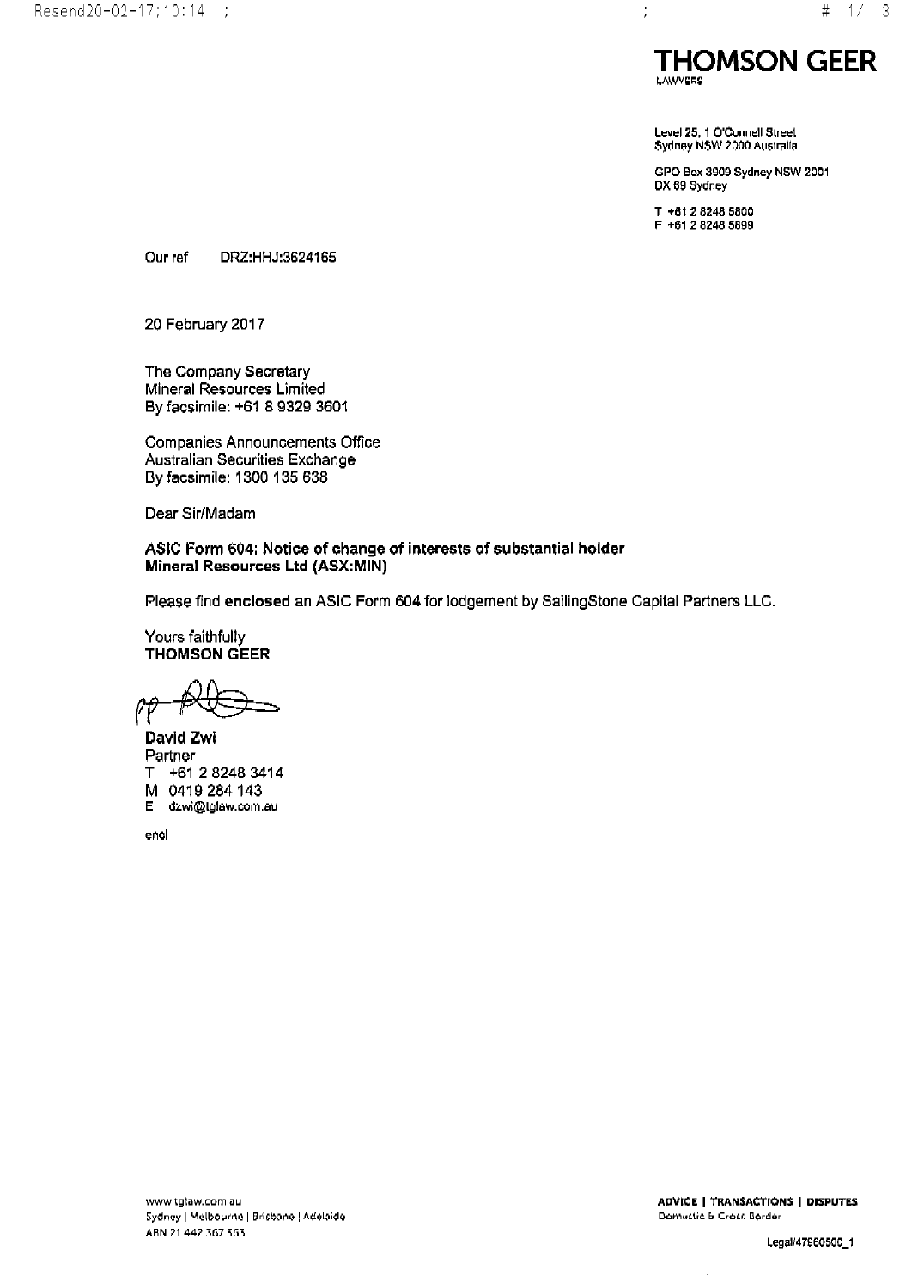

Level 25, 1 O'Connell Street Sydney NSW 2000 Australia

GPO Box 3909 Sydney NSW 2001 DX 69 Sydney

T +61 2 8248 5800  $F + 61282485899$ 

 $\frac{1}{2}$ 

Our ref DRZ:HHJ:3624165

20 February 2017

The Company Secretary Mineral Resources Limited By facsimile: +61 8 9329 3601

Companies Announcements Office Australian Securities Exchange By facsimile: 1300 135 638

Dear Sir/Madam

ASIC Form 604: Notice of change of interests of substantial holder Mineral Resources Ltd (ASX:MIN)

Please find enclosed an ASIC Form 604 for lodgement by SailingStone Capital Partners LLC.

Yours faithfully **THOMSON GEER** 

David Zwi Partner T +61 2 8248 3414 M 0419 284 143 dzwi@tglaw.com.au Е.

end

 $\overline{\phantom{a}}$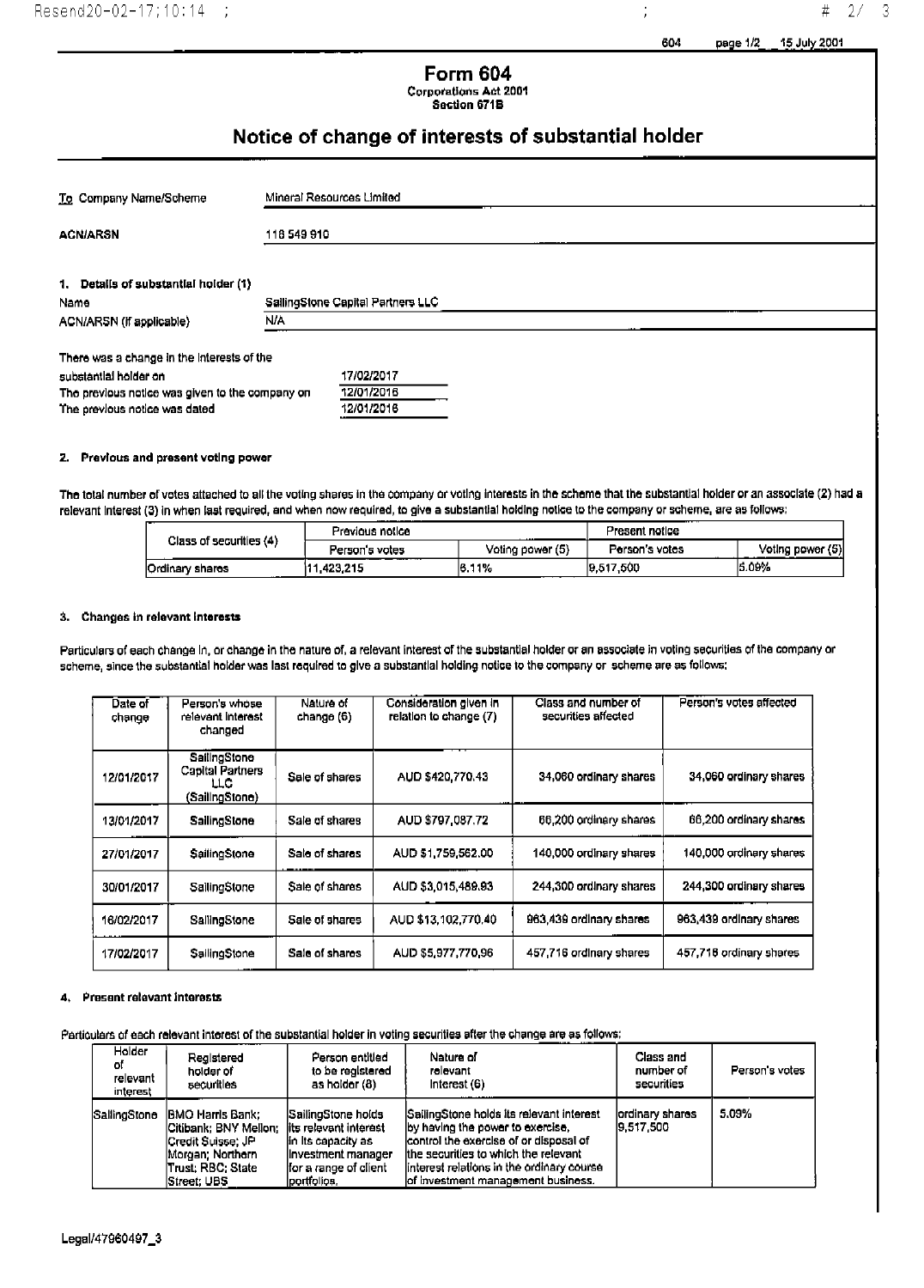j

#  $2/$ 

 $\overline{3}$ 

# **Form 604 Corporations Act 2001**

Section 671B

# Notice of change of interests of substantial holder

| To Company Name/Scheme                                                                                                                                  | Mineral Resources Limited              |
|---------------------------------------------------------------------------------------------------------------------------------------------------------|----------------------------------------|
| <b>ACN/ARSN</b>                                                                                                                                         | 118 549 910                            |
| 1. Details of substantial holder (1)<br>Name                                                                                                            | SallingStone Capital Partners LLC      |
| ACN/ARSN (if applicable)                                                                                                                                | <b>N/A</b>                             |
| There was a change in the interests of the<br>substantial holder on<br>The previous notice was given to the company on<br>The previous notice was dated | 17/02/2017<br>12/01/2016<br>12/01/2016 |

## 2. Previous and present voting power

The total number of votes attached to all the voting shares in the company or voting interests in the scheme that the substantial holder or an associate (2) had a relevant interest (3) in when last required, and when now required, to give a substantial holding notice to the company or scheme, are as follows:

| Class of securities (4) | Previous notice |                  | Present notice |                  |
|-------------------------|-----------------|------------------|----------------|------------------|
|                         | Person's votes  | Voting power (5) | Person's votes | Voting power (5) |
| Ordinary shares<br>     | .423.215        | 16.11%           | 9.517,500      | 5.09%            |

### 3. Changes in relevant interests

Particulars of each change in, or change in the nature of, a relevant interest of the substantial holder or an associate in voting securities of the company or scheme, since the substantial holder was last required to give a substantial holding notice to the company or scheme are as follows:

| Date of<br>change | Person's whose<br>relevant Interest<br>changed             | Nature of<br>change (6)  | Consideration given in<br>relation to change (7) | Class and number of<br>securities affected | Person's votes affected |
|-------------------|------------------------------------------------------------|--------------------------|--------------------------------------------------|--------------------------------------------|-------------------------|
| 12/01/2017        | SailingStone<br>Capital Partners<br>LLC.<br>(SailingStone) | Sale of shares           | AUD \$420,770.43                                 | 34,060 ordinary shares                     | 34,060 ordinary shares  |
| 13/01/2017        | SailingStone                                               | Sale of shares           | AUD \$797,087,72                                 | 66,200 ordinary shares                     | 66,200 ordinary shares  |
| 27/01/2017        | SailingStone                                               | Sale of shares<br>------ | AUD \$1,759,562.00                               | 140,000 ordinary shares                    | 140,000 ordinary shares |
| 30/01/2017        | SailingStone                                               | Sale of shares           | AUD \$3,015,489.93                               | 244,300 ordinary shares                    | 244,300 ordinary shares |
| 16/02/2017        | SallingStone                                               | Sale of shares           | AUD \$13,102,770.40                              | 963,439 ordinary shares                    | 963,439 ordinary shares |
| 17/02/2017        | SailingStone                                               | Sale of shares           | AUD \$5,977,770,96                               | 457.716 ordinary shares                    | 457,716 ordinary shares |

### 4. Present relevant interests

### Particulars of each relevant interest of the substantial holder in voting securities after the change are as follows:

| Holder<br>оf<br>relevant<br>interest | Registered<br>holder of<br>securities                                                                                           | Person entitled<br>to be registered<br>as holder (8)                                                                                | Nature of<br>rolevant<br>Interest (6)                                                                                                                                                                                                              | Class and<br>number of<br>securities | Person's votes |
|--------------------------------------|---------------------------------------------------------------------------------------------------------------------------------|-------------------------------------------------------------------------------------------------------------------------------------|----------------------------------------------------------------------------------------------------------------------------------------------------------------------------------------------------------------------------------------------------|--------------------------------------|----------------|
| SallingStone                         | IBMO Harris Bank:<br>Citibank: BNY Mellon:<br>ICredit Suisse: JP<br>Morgan: Northern<br> Trust: RBC: State<br><b>Street UBS</b> | SailingStone holds<br>lits relevant interest<br>lin its capacity as<br>linvestment manager<br>Ifor a range of client<br>portfolios. | SailingStone holds its relevant interest<br>by having the power to exercise.<br>control the exercise of or disposal of<br>the securities to which the relevant<br>interest relations in the ordinary course<br>lof investment management business. | lordinary shares<br>9.517.500        | 5.09%          |